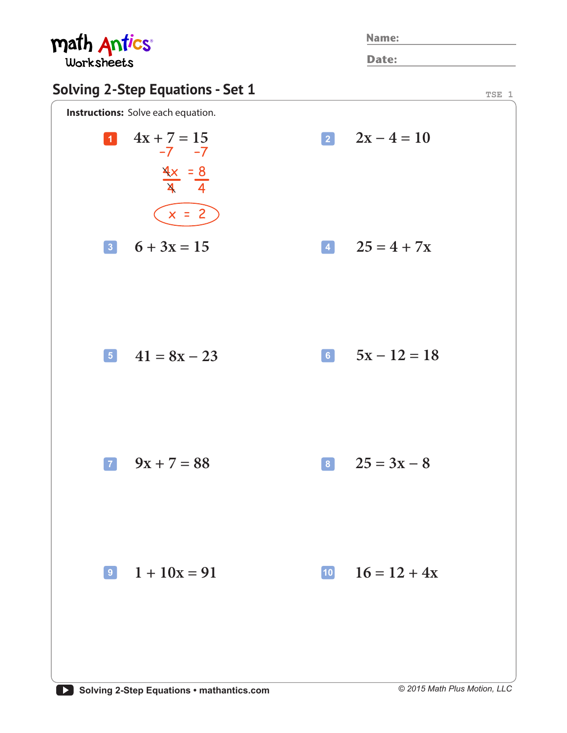| math Antics                                                                  |  |              | <b>Name:</b>        |  |
|------------------------------------------------------------------------------|--|--------------|---------------------|--|
| <b>Worksheets</b>                                                            |  |              | <b>Date:</b>        |  |
| <b>Solving 2-Step Equations - Set 1</b>                                      |  |              | TSE 1               |  |
| <b>Instructions:</b> Solve each equation.                                    |  |              |                     |  |
| $4x + 7 = 15$<br>$\vert 1 \vert$<br>$-7 - 7$<br>$\frac{4x}{4} = \frac{8}{4}$ |  |              | $2x - 4 = 10$       |  |
| $x = 2$                                                                      |  |              |                     |  |
| $6 + 3x = 15$                                                                |  |              | $14 \t 25 = 4 + 7x$ |  |
| $\begin{bmatrix} 5 \\ 41 \\ 8 \end{bmatrix} = 8x - 23$                       |  |              | 6 $5x - 12 = 18$    |  |
| $9x + 7 = 88$<br>$\vert$ 7                                                   |  |              | $8 \t 25 = 3x - 8$  |  |
| $\boxed{9}$ 1 + 10x = 91                                                     |  | $\boxed{10}$ | $16 = 12 + 4x$      |  |
|                                                                              |  |              |                     |  |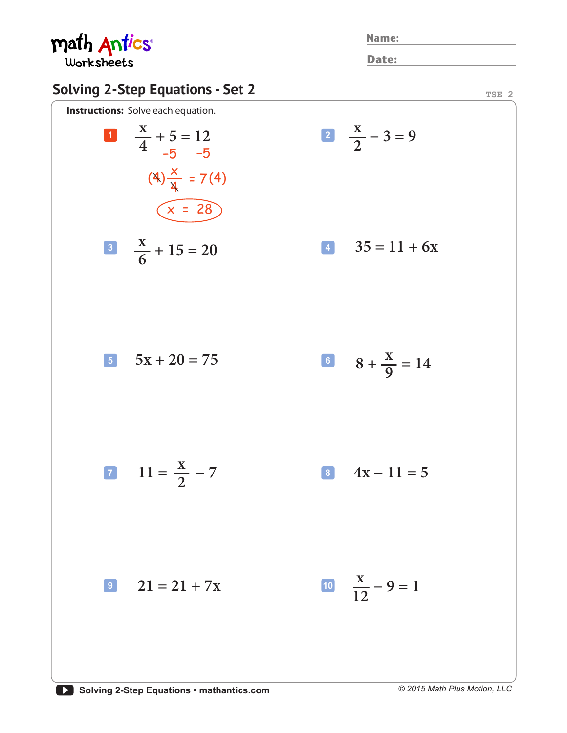math Antics® Worksheets

**Name:**

**Date:**

## **Solving 2-Step Equations - Set 2 Instructions:** Solve each equation. **TSE 2**  $1 \t 2 \t 12$ **5**  $5x + 20 = 75$ **9**  $21 = 21 + 7x$ **11** =  $\frac{1}{2}$  - 7 8 **3 4 + 15 = 20**  $\begin{array}{|c|c|c|}\n\hline\n8 & 4x - 11 = 5\n\end{array}$  $35 = 11 + 6x$  $(4)$  $\frac{x}{4}$  = 7(4) −5 −5  $(x = 28)$  $\frac{x}{2}$   $\frac{x}{2}$  - 3 = 9 **− 9 = 1**  $8 + \frac{4}{9} = 14$  $X + 5 - 12$   $X$ **x x x x**   $\frac{4}{-5}$   $\frac{5}{-5}$   $\frac{2}{-5}$ **12 2 6 9**

*© 2015 Math Plus Motion, LLC*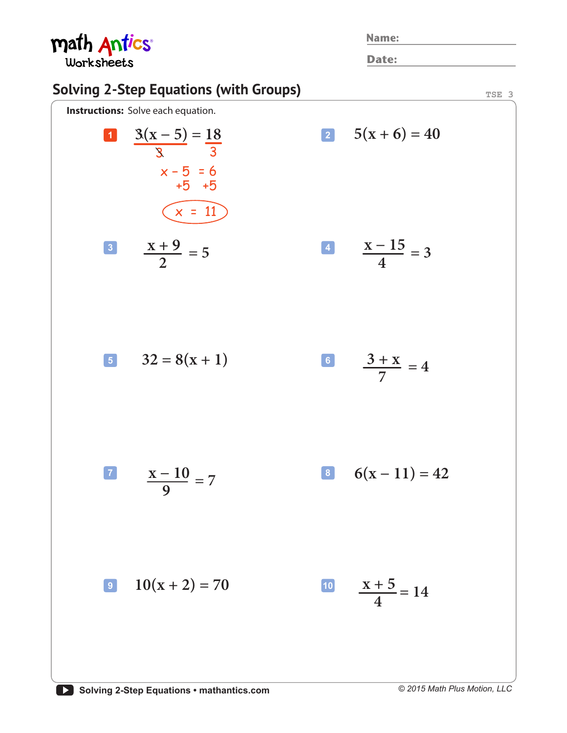math Antics® **Name: Date:** Worksheets **Solving 2-Step Equations (with Groups) TSE 3 Instructions:** Solve each equation. **2**  $5(x+6) = 40$  $3(x - 5) = 18$ **1**  $3(X-5) = 18$  2 3 3  $x - 5 = 6$ +5 +5  $\widehat{x} = 11$ **x − 15**  $\frac{x+9}{2} = 5$ **= 3 2 4**  $\frac{3 + x}{7} = 4$ **5**  $32 = 8(x + 1)$  **6 7 6(x – 11)** = 42 **7 8 x − 10 = 7 9**

**9 10** $(x + 2) = 70$ 

 $\frac{x+5}{4} = 14$ **4**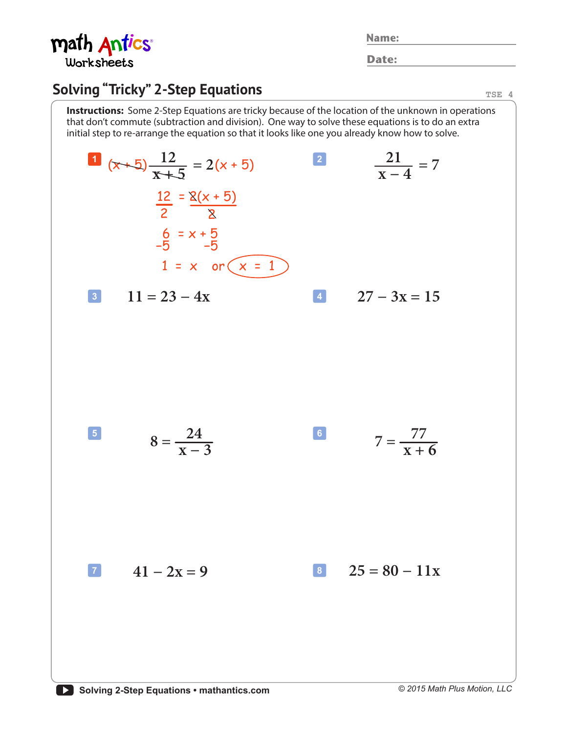

**Name:**

**Date:**

## **Solving "Tricky" 2-Step Equations**

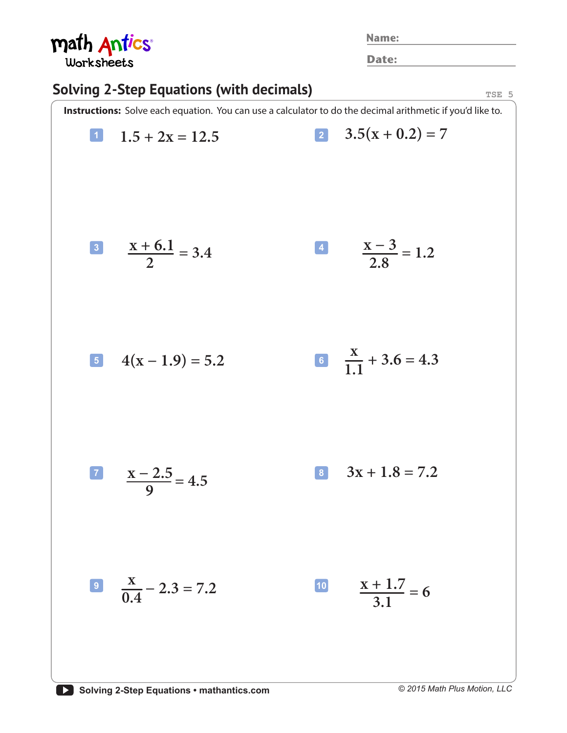| math Antics<br>Worksheets                                                                                  |                             |              | <b>Name:</b>                 |  |  |  |
|------------------------------------------------------------------------------------------------------------|-----------------------------|--------------|------------------------------|--|--|--|
|                                                                                                            |                             | Date:        |                              |  |  |  |
| <b>Solving 2-Step Equations (with decimals)</b><br>TSE 5                                                   |                             |              |                              |  |  |  |
| Instructions: Solve each equation. You can use a calculator to do the decimal arithmetic if you'd like to. |                             |              |                              |  |  |  |
| $\vert$ 1                                                                                                  | $1.5 + 2x = 12.5$           |              | 2 $3.5(x+0.2) = 7$           |  |  |  |
|                                                                                                            | $\frac{x+6.1}{2} = 3.4$     |              | $\frac{x-3}{2.8} = 1.2$      |  |  |  |
|                                                                                                            | $4(x-1.9) = 5.2$            |              | 6 $\frac{X}{11} + 3.6 = 4.3$ |  |  |  |
|                                                                                                            | $\frac{x-2.5}{9} = 4.5$     | 8            | $3x + 1.8 = 7.2$             |  |  |  |
|                                                                                                            | $\frac{8}{0.4} - 2.3 = 7.2$ | $\boxed{10}$ | $\frac{x+1.7}{3.1} = 6$      |  |  |  |